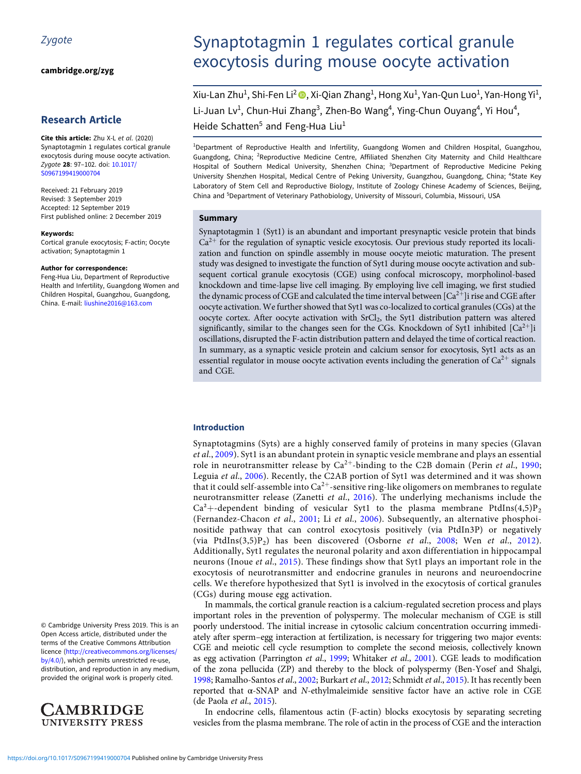[cambridge.org/zyg](https://www.cambridge.org/zyg)

# Research Article

Cite this article: Zhu X-L et al. (2020) Synaptotagmin 1 regulates cortical granule exocytosis during mouse oocyte activation. Zygote 28: 97–102. doi: [10.1017/](https://doi.org/10.1017/S0967199419000704) [S0967199419000704](https://doi.org/10.1017/S0967199419000704)

Received: 21 February 2019 Revised: 3 September 2019 Accepted: 12 September 2019 First published online: 2 December 2019

#### Keywords:

Cortical granule exocytosis; F-actin; Oocyte activation; Synaptotagmin 1

#### Author for correspondence:

Feng-Hua Liu, Department of Reproductive Health and Infertility, Guangdong Women and Children Hospital, Guangzhou, Guangdong, China. E-mail: [liushine2016@163.com](mailto:liushine2016@163.com)

© Cambridge University Press 2019. This is an Open Access article, distributed under the terms of the Creative Commons Attribution licence [\(http://creativecommons.org/licenses/](http://creativecommons.org/licenses/by/4.0/) [by/4.0/](http://creativecommons.org/licenses/by/4.0/)), which permits unrestricted re-use, distribution, and reproduction in any medium, provided the original work is properly cited.



# Synaptotagmin 1 regulates cortical granule exocytosis during mouse oocyte activation

Xiu-Lan Zhu $^1$ , Shi-Fen Li $^2$   $\textcircled{\tiny{\textsf{I}}},$  Xi-Qian Zhang $^1$ , Hong Xu $^1$ , Yan-Qun Luo $^1$ , Yan-Hong Yi $^1$ , Li-Juan Lv<sup>1</sup>, Chun-Hui Zhang<sup>3</sup>, Zhen-Bo Wang<sup>4</sup>, Ying-Chun Ouyang<sup>4</sup>, Yi Hou<sup>4</sup>, Heide Schatten<sup>5</sup> and Feng-Hua Liu<sup>1</sup>

1 Department of Reproductive Health and Infertility, Guangdong Women and Children Hospital, Guangzhou, Guangdong, China; <sup>2</sup>Reproductive Medicine Centre, Affiliated Shenzhen City Maternity and Child Healthcare Hospital of Southern Medical University, Shenzhen China; <sup>3</sup>Department of Reproductive Medicine Peking University Shenzhen Hospital, Medical Centre of Peking University, Guangzhou, Guangdong, China; <sup>4</sup>State Key Laboratory of Stem Cell and Reproductive Biology, Institute of Zoology Chinese Academy of Sciences, Beijing, China and <sup>5</sup>Department of Veterinary Pathobiology, University of Missouri, Columbia, Missouri, USA

## Summary

Synaptotagmin 1 (Syt1) is an abundant and important presynaptic vesicle protein that binds  $Ca^{2+}$  for the regulation of synaptic vesicle exocytosis. Our previous study reported its localization and function on spindle assembly in mouse oocyte meiotic maturation. The present study was designed to investigate the function of Syt1 during mouse oocyte activation and subsequent cortical granule exocytosis (CGE) using confocal microscopy, morpholinol-based knockdown and time-lapse live cell imaging. By employing live cell imaging, we first studied the dynamic process of CGE and calculated the time interval between  $\lceil Ca^{2+}\rceil$  i rise and CGE after oocyte activation. We further showed that Syt1 was co-localized to cortical granules (CGs) at the oocyte cortex. After oocyte activation with SrCl<sub>2</sub>, the Syt1 distribution pattern was altered significantly, similar to the changes seen for the CGs. Knockdown of Syt1 inhibited  $[Ca^{2+}]$ i oscillations, disrupted the F-actin distribution pattern and delayed the time of cortical reaction. In summary, as a synaptic vesicle protein and calcium sensor for exocytosis, Syt1 acts as an essential regulator in mouse oocyte activation events including the generation of  $Ca^{2+}$  signals and CGE.

## Introduction

Synaptotagmins (Syts) are a highly conserved family of proteins in many species (Glavan et al., [2009](#page-5-0)). Syt1 is an abundant protein in synaptic vesicle membrane and plays an essential role in neurotransmitter release by  $Ca^{2+}$ -binding to the C2B domain (Perin *et al.*, [1990;](#page-5-0) Leguia et al., [2006\)](#page-5-0). Recently, the C2AB portion of Syt1 was determined and it was shown that it could self-assemble into  $Ca^{2+}$ -sensitive ring-like oligomers on membranes to regulate neurotransmitter release (Zanetti *et al.*, [2016](#page-5-0)). The underlying mechanisms include the  $Ca<sup>2</sup> + dependent binding of vesicular Syt1 to the plasma membrane PtdIns(4,5)P<sub>2</sub>$ (Fernandez-Chacon et al., [2001;](#page-5-0) Li et al., [2006](#page-5-0)). Subsequently, an alternative phosphoinositide pathway that can control exocytosis positively (via PtdIn3P) or negatively (via PtdIns $(3,5)P_2$ ) has been discovered (Osborne et al., [2008;](#page-5-0) Wen et al., [2012](#page-5-0)). Additionally, Syt1 regulates the neuronal polarity and axon differentiation in hippocampal neurons (Inoue et al., [2015](#page-5-0)). These findings show that Syt1 plays an important role in the exocytosis of neurotransmitter and endocrine granules in neurons and neuroendocrine cells. We therefore hypothesized that Syt1 is involved in the exocytosis of cortical granules (CGs) during mouse egg activation.

In mammals, the cortical granule reaction is a calcium-regulated secretion process and plays important roles in the prevention of polyspermy. The molecular mechanism of CGE is still poorly understood. The initial increase in cytosolic calcium concentration occurring immediately after sperm–egg interaction at fertilization, is necessary for triggering two major events: CGE and meiotic cell cycle resumption to complete the second meiosis, collectively known as egg activation (Parrington et al., [1999;](#page-5-0) Whitaker et al., [2001](#page-5-0)). CGE leads to modification of the zona pellucida (ZP) and thereby to the block of polyspermy (Ben-Yosef and Shalgi, [1998](#page-5-0); Ramalho-Santos et al., [2002](#page-5-0); Burkart et al., [2012;](#page-5-0) Schmidt et al., [2015\)](#page-5-0). It has recently been reported that α-SNAP and N-ethylmaleimide sensitive factor have an active role in CGE (de Paola et al., [2015](#page-5-0)).

In endocrine cells, filamentous actin (F-actin) blocks exocytosis by separating secreting vesicles from the plasma membrane. The role of actin in the process of CGE and the interaction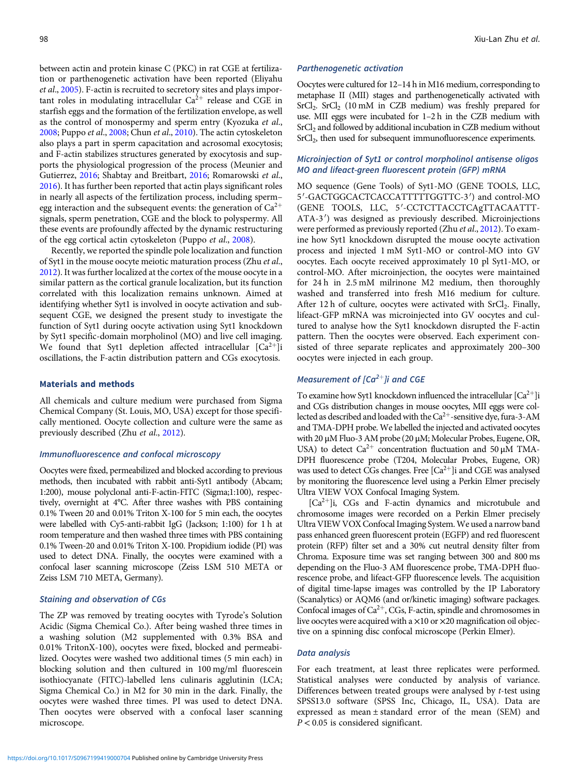between actin and protein kinase C (PKC) in rat CGE at fertilization or parthenogenetic activation have been reported (Eliyahu et al., [2005\)](#page-5-0). F-actin is recruited to secretory sites and plays important roles in modulating intracellular  $Ca^{2+}$  release and CGE in starfish eggs and the formation of the fertilization envelope, as well as the control of monospermy and sperm entry (Kyozuka et al., [2008;](#page-5-0) Puppo et al., [2008;](#page-5-0) Chun et al., [2010](#page-5-0)). The actin cytoskeleton also plays a part in sperm capacitation and acrosomal exocytosis; and F-actin stabilizes structures generated by exocytosis and supports the physiological progression of the process (Meunier and Gutierrez, [2016;](#page-5-0) Shabtay and Breitbart, [2016](#page-5-0); Romarowski et al., [2016\)](#page-5-0). It has further been reported that actin plays significant roles in nearly all aspects of the fertilization process, including sperm– egg interaction and the subsequent events: the generation of  $Ca^{2+}$ signals, sperm penetration, CGE and the block to polyspermy. All these events are profoundly affected by the dynamic restructuring of the egg cortical actin cytoskeleton (Puppo et al., [2008](#page-5-0)).

Recently, we reported the spindle pole localization and function of Syt1 in the mouse oocyte meiotic maturation process (Zhu et al., [2012\)](#page-5-0). It was further localized at the cortex of the mouse oocyte in a similar pattern as the cortical granule localization, but its function correlated with this localization remains unknown. Aimed at identifying whether Syt1 is involved in oocyte activation and subsequent CGE, we designed the present study to investigate the function of Syt1 during oocyte activation using Syt1 knockdown by Syt1 specific-domain morpholinol (MO) and live cell imaging. We found that Syt1 depletion affected intracellular  $[Ca^{2+}]$ i oscillations, the F-actin distribution pattern and CGs exocytosis.

# Materials and methods

All chemicals and culture medium were purchased from Sigma Chemical Company (St. Louis, MO, USA) except for those specifically mentioned. Oocyte collection and culture were the same as previously described (Zhu et al., [2012\)](#page-5-0).

### Immunofluorescence and confocal microscopy

Oocytes were fixed, permeabilized and blocked according to previous methods, then incubated with rabbit anti-Syt1 antibody (Abcam; 1:200), mouse polyclonal anti-F-actin-FITC (Sigma;1:100), respectively, overnight at 4°C. After three washes with PBS containing 0.1% Tween 20 and 0.01% Triton X-100 for 5 min each, the oocytes were labelled with Cy5-anti-rabbit IgG (Jackson; 1:100) for 1 h at room temperature and then washed three times with PBS containing 0.1% Tween-20 and 0.01% Triton X-100. Propidium iodide (PI) was used to detect DNA. Finally, the oocytes were examined with a confocal laser scanning microscope (Zeiss LSM 510 META or Zeiss LSM 710 META, Germany).

# Staining and observation of CGs

The ZP was removed by treating oocytes with Tyrode's Solution Acidic (Sigma Chemical Co.). After being washed three times in a washing solution (M2 supplemented with 0.3% BSA and 0.01% TritonX-100), oocytes were fixed, blocked and permeabilized. Oocytes were washed two additional times (5 min each) in blocking solution and then cultured in 100 mg/ml fluorescein isothiocyanate (FITC)-labelled lens culinaris agglutinin (LCA; Sigma Chemical Co.) in M2 for 30 min in the dark. Finally, the oocytes were washed three times. PI was used to detect DNA. Then oocytes were observed with a confocal laser scanning microscope.

## Parthenogenetic activation

Oocytes were cultured for 12–14 h in M16 medium, corresponding to metaphase II (MII) stages and parthenogenetically activated with SrCl<sub>2</sub>. SrCl<sub>2</sub> (10 mM in CZB medium) was freshly prepared for use. MII eggs were incubated for 1–2 h in the CZB medium with SrCl<sub>2</sub> and followed by additional incubation in CZB medium without SrCl<sub>2</sub>, then used for subsequent immunofluorescence experiments.

# Microinjection of Syt1 or control morpholinol antisense oligos MO and lifeact-green fluorescent protein (GFP) mRNA

MO sequence (Gene Tools) of Syt1-MO (GENE TOOLS, LLC, 5'-GACTGGCACTCACCATTTTTGGTTC-3') and control-MO (GENE TOOLS, LLC, 5'-CCTCTTACCTCAgTTACAATTT-ATA-3') was designed as previously described. Microinjections were performed as previously reported (Zhu et al., [2012](#page-5-0)). To examine how Syt1 knockdown disrupted the mouse oocyte activation process and injected 1 mM Syt1-MO or control-MO into GV oocytes. Each oocyte received approximately 10 pl Syt1-MO, or control-MO. After microinjection, the oocytes were maintained for 24 h in 2.5 mM milrinone M2 medium, then thoroughly washed and transferred into fresh M16 medium for culture. After 12 h of culture, oocytes were activated with  $SrCl<sub>2</sub>$ . Finally, lifeact-GFP mRNA was microinjected into GV oocytes and cultured to analyse how the Syt1 knockdown disrupted the F-actin pattern. Then the oocytes were observed. Each experiment consisted of three separate replicates and approximately 200–300 oocytes were injected in each group.

# Measurement of  $[Ca^{2+}]\hat{i}$  and CGE

To examine how Syt1 knockdown influenced the intracellular  $[Ca^{2+}]$ i and CGs distribution changes in mouse oocytes, MII eggs were collected as described and loaded with the  $Ca^{2+}$ -sensitive dye, fura-3-AM and TMA-DPH probe. We labelled the injected and activated oocytes with 20 μM Fluo-3 AM probe (20 μM; Molecular Probes, Eugene, OR, USA) to detect  $Ca^{2+}$  concentration fluctuation and 50  $\mu$ M TMA-DPH fluorescence probe (T204, Molecular Probes, Eugene, OR) was used to detect CGs changes. Free  $\lceil Ca^{2+} \rceil$ i and CGE was analysed by monitoring the fluorescence level using a Perkin Elmer precisely Ultra VIEW VOX Confocal Imaging System.

 $[Ca^{2+}]i$ , CGs and F-actin dynamics and microtubule and chromosome images were recorded on a Perkin Elmer precisely Ultra VIEW VOX Confocal Imaging System.We used a narrow band pass enhanced green fluorescent protein (EGFP) and red fluorescent protein (RFP) filter set and a 30% cut neutral density filter from Chroma. Exposure time was set ranging between 300 and 800 ms depending on the Fluo-3 AM fluorescence probe, TMA-DPH fluorescence probe, and lifeact-GFP fluorescence levels. The acquisition of digital time-lapse images was controlled by the IP Laboratory (Scanalytics) or AQM6 (and or/kinetic imaging) software packages. Confocal images of  $Ca^{2+}$ , CGs, F-actin, spindle and chromosomes in live oocytes were acquired with a  $\times 10$  or  $\times 20$  magnification oil objective on a spinning disc confocal microscope (Perkin Elmer).

# Data analysis

For each treatment, at least three replicates were performed. Statistical analyses were conducted by analysis of variance. Differences between treated groups were analysed by t-test using SPSS13.0 software (SPSS Inc, Chicago, IL, USA). Data are expressed as mean ± standard error of the mean (SEM) and  $P < 0.05$  is considered significant.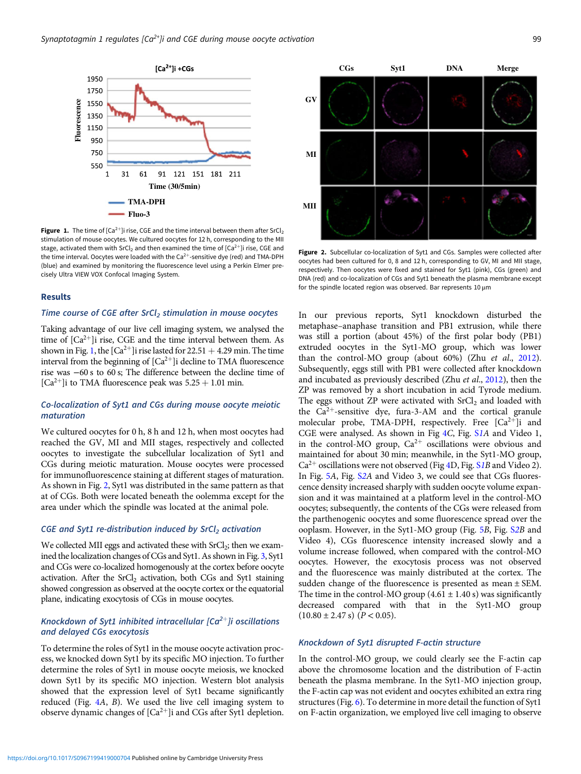

**Figure 1.** The time of  $[Ca^{2+}]}$  rise, CGE and the time interval between them after SrCl<sub>2</sub> stimulation of mouse oocytes. We cultured oocytes for 12 h, corresponding to the MII stage, activated them with SrCl<sub>2</sub> and then examined the time of [Ca<sup>2+</sup>]i rise, CGE and the time interval. Oocytes were loaded with the Ca<sup>2+</sup>-sensitive dye (red) and TMA-DPH (blue) and examined by monitoring the fluorescence level using a Perkin Elmer precisely Ultra VIEW VOX Confocal Imaging System.

## Results

# Time course of CGE after  $SrCl<sub>2</sub>$  stimulation in mouse oocytes

Taking advantage of our live cell imaging system, we analysed the time of  $[Ca^{2+}]$ i rise, CGE and the time interval between them. As shown in Fig. 1, the  $\lceil Ca^{2+} \rceil$ i rise lasted for 22.51  $+$  4.29 min. The time interval from the beginning of  $[Ca^{2+}]$ i decline to TMA fluorescence rise was −60 s to 60 s; The difference between the decline time of  $[Ca^{2+}]$ i to TMA fluorescence peak was  $5.25 + 1.01$  min.

## Co-localization of Syt1 and CGs during mouse oocyte meiotic maturation

We cultured oocytes for 0 h, 8 h and 12 h, when most oocytes had reached the GV, MI and MII stages, respectively and collected oocytes to investigate the subcellular localization of Syt1 and CGs during meiotic maturation. Mouse oocytes were processed for immunofluorescence staining at different stages of maturation. As shown in Fig. 2, Syt1 was distributed in the same pattern as that at of CGs. Both were located beneath the oolemma except for the area under which the spindle was located at the animal pole.

# CGE and Syt1 re-distribution induced by  $SrCl<sub>2</sub>$  activation

We collected MII eggs and activated these with  $SrCl<sub>2</sub>$ ; then we examined the localization changes of CGs and Syt1. As shown in Fig. [3,](#page-3-0) Syt1 and CGs were co-localized homogenously at the cortex before oocyte activation. After the SrCl<sub>2</sub> activation, both CGs and Syt1 staining showed congression as observed at the oocyte cortex or the equatorial plane, indicating exocytosis of CGs in mouse oocytes.

# Knockdown of Syt1 inhibited intracellular  $[Ca^{2+}]$ i oscillations and delayed CGs exocytosis

To determine the roles of Syt1 in the mouse oocyte activation process, we knocked down Syt1 by its specific MO injection. To further determine the roles of Syt1 in mouse oocyte meiosis, we knocked down Syt1 by its specific MO injection. Western blot analysis showed that the expression level of Syt1 became significantly reduced (Fig. [4](#page-3-0)A, B). We used the live cell imaging system to observe dynamic changes of  $[Ca^{2+}]$ i and CGs after Syt1 depletion.



Figure 2. Subcellular co-localization of Syt1 and CGs. Samples were collected after oocytes had been cultured for 0, 8 and 12 h, corresponding to GV, MI and MII stage, respectively. Then oocytes were fixed and stained for Syt1 (pink), CGs (green) and DNA (red) and co-localization of CGs and Syt1 beneath the plasma membrane except for the spindle located region was observed. Bar represents 10 μm

In our previous reports, Syt1 knockdown disturbed the metaphase–anaphase transition and PB1 extrusion, while there was still a portion (about 45%) of the first polar body (PB1) extruded oocytes in the Syt1-MO group, which was lower than the control-MO group (about 60%) (Zhu et al., [2012\)](#page-5-0). Subsequently, eggs still with PB1 were collected after knockdown and incubated as previously described (Zhu et al., [2012\)](#page-5-0), then the ZP was removed by a short incubation in acid Tyrode medium. The eggs without ZP were activated with  $SrCl<sub>2</sub>$  and loaded with the  $Ca^{2+}$ -sensitive dye, fura-3-AM and the cortical granule molecular probe, TMA-DPH, respectively. Free  $[Ca^{2+}]$ i and CGE were analysed. As shown in Fig [4](#page-3-0)C, Fig. [S](https://doi.org/10.1017/S0967199419000704)1A and Video 1, in the control-MO group,  $Ca^{2+}$  oscillations were obvious and maintained for about 30 min; meanwhile, in the Syt1-MO group,  $Ca^{2+}$  oscillations were not observed (Fig [4D](#page-3-0), Fig. [S](https://doi.org/10.1017/S0967199419000704)1B and Video 2). In Fig. [5](#page-4-0)A, Fig. [S](https://doi.org/10.1017/S0967199419000704)2A and Video 3, we could see that CGs fluorescence density increased sharply with sudden oocyte volume expansion and it was maintained at a platform level in the control-MO oocytes; subsequently, the contents of the CGs were released from the parthenogenic oocytes and some fluorescence spread over the ooplasm. However, in the Syt1-MO group (Fig. [5](#page-4-0)B, Fig. [S](https://doi.org/10.1017/S0967199419000704)2B and Video 4), CGs fluorescence intensity increased slowly and a volume increase followed, when compared with the control-MO oocytes. However, the exocytosis process was not observed and the fluorescence was mainly distributed at the cortex. The sudden change of the fluorescence is presented as mean ± SEM. The time in the control-MO group  $(4.61 \pm 1.40 \text{ s})$  was significantly decreased compared with that in the Syt1-MO group  $(10.80 \pm 2.47 \text{ s})$   $(P < 0.05)$ .

# Knockdown of Syt1 disrupted F-actin structure

In the control-MO group, we could clearly see the F-actin cap above the chromosome location and the distribution of F-actin beneath the plasma membrane. In the Syt1-MO injection group, the F-actin cap was not evident and oocytes exhibited an extra ring structures (Fig. [6\)](#page-4-0). To determine in more detail the function of Syt1 on F-actin organization, we employed live cell imaging to observe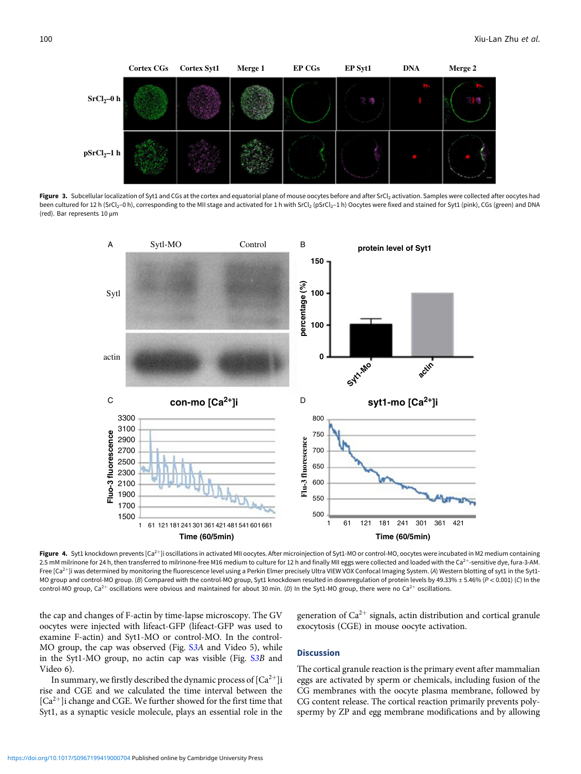<span id="page-3-0"></span>

Figure 3. Subcellular localization of Syt1 and CGs at the cortex and equatorial plane of mouse oocytes before and after SrCl<sub>2</sub> activation. Samples were collected after oocytes had been cultured for 12 h (SrCl<sub>2</sub>-0 h), corresponding to the MII stage and activated for 1 h with SrCl<sub>2</sub> (pSrCl<sub>2</sub>-1 h) Oocytes were fixed and stained for Syt1 (pink), CGs (green) and DNA (red). Bar represents 10 μm



Figure 4. Syt1 knockdown prevents [Ca<sup>2+</sup>]i oscillations in activated MII oocytes. After microinjection of Syt1-MO or control-MO, oocytes were incubated in M2 medium containing 2.5 mM milrinone for 24 h, then transferred to milrinone-free M16 medium to culture for 12 h and finally MII eggs were collected and loaded with the Ca<sup>2+</sup>-sensitive dye, fura-3-AM. Free [Ca<sup>2+</sup>]i was determined by monitoring the fluorescence level using a Perkin Elmer precisely Ultra VIEW VOX Confocal Imaging System. (A) Western blotting of syt1 in the Syt1-MO group and control-MO group. (B) Compared with the control-MO group, Syt1 knockdown resulted in downregulation of protein levels by 49.33% ± 5.46% (P < 0.001) (C) In the control-MO group, Ca<sup>2+</sup> oscillations were obvious and maintained for about 30 min. (D) In the Syt1-MO group, there were no Ca<sup>2+</sup> oscillations.

the cap and changes of F-actin by time-lapse microscopy. The GV oocytes were injected with lifeact-GFP (lifeact-GFP was used to examine F-actin) and Syt1-MO or control-MO. In the control-MO group, the cap was observed (Fig. S[3A](https://doi.org/10.1017/S0967199419000704) and Video 5), while in the Syt1-MO group, no actin cap was visible (Fig. S[3B](https://doi.org/10.1017/S0967199419000704) and Video 6).

In summary, we firstly described the dynamic process of  $[Ca^{2+}]$ i rise and CGE and we calculated the time interval between the  $[Ca^{2+}]$ i change and CGE. We further showed for the first time that Syt1, as a synaptic vesicle molecule, plays an essential role in the generation of  $Ca^{2+}$  signals, actin distribution and cortical granule exocytosis (CGE) in mouse oocyte activation.

# **Discussion**

The cortical granule reaction is the primary event after mammalian eggs are activated by sperm or chemicals, including fusion of the CG membranes with the oocyte plasma membrane, followed by CG content release. The cortical reaction primarily prevents polyspermy by ZP and egg membrane modifications and by allowing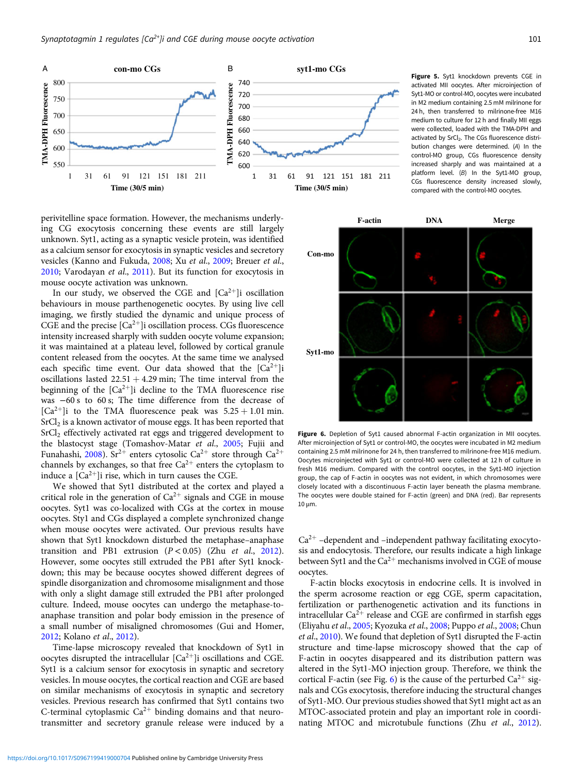<span id="page-4-0"></span>

perivitelline space formation. However, the mechanisms underlying CG exocytosis concerning these events are still largely unknown. Syt1, acting as a synaptic vesicle protein, was identified as a calcium sensor for exocytosis in synaptic vesicles and secretory vesicles (Kanno and Fukuda, [2008;](#page-5-0) Xu et al., [2009](#page-5-0); Breuer et al., [2010](#page-5-0); Varodayan et al., [2011\)](#page-5-0). But its function for exocytosis in mouse oocyte activation was unknown.

In our study, we observed the CGE and  $[Ca^{2+}]$ i oscillation behaviours in mouse parthenogenetic oocytes. By using live cell imaging, we firstly studied the dynamic and unique process of CGE and the precise  $\lbrack Ca^{2+}\rbrack$ i oscillation process. CGs fluorescence intensity increased sharply with sudden oocyte volume expansion; it was maintained at a plateau level, followed by cortical granule content released from the oocytes. At the same time we analysed each specific time event. Our data showed that the  $[Ca^{2+}]i$ oscillations lasted  $22.51 + 4.29$  min; The time interval from the beginning of the  $[Ca^{2+}]$ i decline to the TMA fluorescence rise was −60 s to 60 s; The time difference from the decrease of  $[Ca^{2+}]$ i to the TMA fluorescence peak was  $5.25 + 1.01$  min.  $SrCl<sub>2</sub>$  is a known activator of mouse eggs. It has been reported that  $SrCl<sub>2</sub>$  effectively activated rat eggs and triggered development to the blastocyst stage (Tomashov-Matar et al., [2005;](#page-5-0) Fujii and Funahashi, [2008\)](#page-5-0). Sr<sup>2+</sup> enters cytosolic Ca<sup>2+</sup> store through Ca<sup>2+</sup> channels by exchanges, so that free  $Ca^{2+}$  enters the cytoplasm to induce a  $[Ca^{2+}]$ i rise, which in turn causes the CGE.

We showed that Syt1 distributed at the cortex and played a critical role in the generation of  $Ca^{2+}$  signals and CGE in mouse oocytes. Syt1 was co-localized with CGs at the cortex in mouse oocytes. Sty1 and CGs displayed a complete synchronized change when mouse oocytes were activated. Our previous results have shown that Syt1 knockdown disturbed the metaphase–anaphase transition and PB1 extrusion  $(P < 0.05)$  (Zhu et al., [2012\)](#page-5-0). However, some oocytes still extruded the PB1 after Syt1 knockdown; this may be because oocytes showed different degrees of spindle disorganization and chromosome misalignment and those with only a slight damage still extruded the PB1 after prolonged culture. Indeed, mouse oocytes can undergo the metaphase-toanaphase transition and polar body emission in the presence of a small number of misaligned chromosomes (Gui and Homer, [2012](#page-5-0); Kolano et al., [2012](#page-5-0)).

Time-lapse microscopy revealed that knockdown of Syt1 in oocytes disrupted the intracellular  $[Ca^{2+}]$ i oscillations and CGE. Syt1 is a calcium sensor for exocytosis in synaptic and secretory vesicles. In mouse oocytes, the cortical reaction and CGE are based on similar mechanisms of exocytosis in synaptic and secretory vesicles. Previous research has confirmed that Syt1 contains two C-terminal cytoplasmic  $Ca^{2+}$  binding domains and that neurotransmitter and secretory granule release were induced by a Figure 5. Syt1 knockdown prevents CGE in activated MII oocytes. After microinjection of Syt1-MO or control-MO, oocytes were incubated in M2 medium containing 2.5 mM milrinone for 24 h, then transferred to milrinone-free M16 medium to culture for 12 h and finally MII eggs were collected, loaded with the TMA-DPH and activated by SrCl<sub>2</sub>. The CGs fluorescence distribution changes were determined. (A) In the control-MO group, CGs fluorescence density increased sharply and was maintained at a platform level. (B) In the Syt1-MO group, CGs fluorescence density increased slowly, compared with the control-MO oocytes.



Figure 6. Depletion of Syt1 caused abnormal F-actin organization in MII oocytes. After microinjection of Syt1 or control-MO, the oocytes were incubated in M2 medium containing 2.5 mM milrinone for 24 h, then transferred to milrinone-free M16 medium. Oocytes microinjected with Syt1 or control-MO were collected at 12 h of culture in fresh M16 medium. Compared with the control oocytes, in the Syt1-MO injection group, the cap of F-actin in oocytes was not evident, in which chromosomes were closely located with a discontinuous F-actin layer beneath the plasma membrane. The oocytes were double stained for F-actin (green) and DNA (red). Bar represents 10 μm.

 $Ca<sup>2+</sup>$  –dependent and –independent pathway facilitating exocytosis and endocytosis. Therefore, our results indicate a high linkage between Syt1 and the  $Ca^{2+}$  mechanisms involved in CGE of mouse oocytes.

F-actin blocks exocytosis in endocrine cells. It is involved in the sperm acrosome reaction or egg CGE, sperm capacitation, fertilization or parthenogenetic activation and its functions in intracellular  $Ca^{2+}$  release and CGE are confirmed in starfish eggs (Eliyahu et al., [2005;](#page-5-0) Kyozuka et al., [2008;](#page-5-0) Puppo et al., [2008;](#page-5-0) Chun et al., [2010](#page-5-0)). We found that depletion of Syt1 disrupted the F-actin structure and time-lapse microscopy showed that the cap of F-actin in oocytes disappeared and its distribution pattern was altered in the Syt1-MO injection group. Therefore, we think the cortical F-actin (see Fig. 6) is the cause of the perturbed  $Ca^{2+}$  signals and CGs exocytosis, therefore inducing the structural changes of Syt1-MO. Our previous studies showed that Syt1 might act as an MTOC-associated protein and play an important role in coordi-nating MTOC and microtubule functions (Zhu et al., [2012\)](#page-5-0).